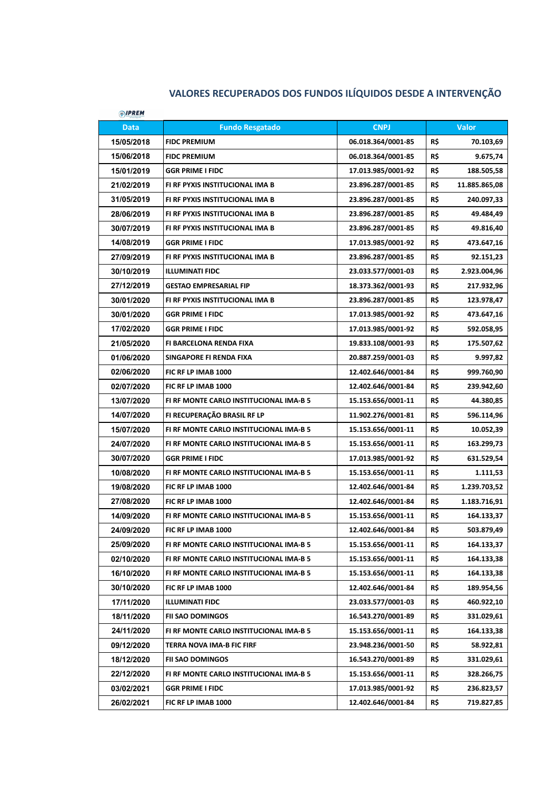## **VALORES RECUPERADOS DOS FUNDOS ILÍQUIDOS DESDE A INTERVENÇÃO**

| <b><i><sup><sup>O</sup></sup></i></b> /PREM |                                         |                    |     |               |
|---------------------------------------------|-----------------------------------------|--------------------|-----|---------------|
| <b>Data</b>                                 | <b>Fundo Resgatado</b>                  | <b>CNPJ</b>        |     | <b>Valor</b>  |
| 15/05/2018                                  | <b>FIDC PREMIUM</b>                     | 06.018.364/0001-85 | R\$ | 70.103,69     |
| 15/06/2018                                  | <b>FIDC PREMIUM</b>                     | 06.018.364/0001-85 | R\$ | 9.675,74      |
| 15/01/2019                                  | <b>GGR PRIME I FIDC</b>                 | 17.013.985/0001-92 | R\$ | 188.505,58    |
| 21/02/2019                                  | FI RF PYXIS INSTITUCIONAL IMA B         | 23.896.287/0001-85 | R\$ | 11.885.865,08 |
| 31/05/2019                                  | FI RF PYXIS INSTITUCIONAL IMA B         | 23.896.287/0001-85 | R\$ | 240.097,33    |
| 28/06/2019                                  | FI RF PYXIS INSTITUCIONAL IMA B         | 23.896.287/0001-85 | R\$ | 49.484,49     |
| 30/07/2019                                  | FI RF PYXIS INSTITUCIONAL IMA B         | 23.896.287/0001-85 | R\$ | 49.816,40     |
| 14/08/2019                                  | <b>GGR PRIME I FIDC</b>                 | 17.013.985/0001-92 | R\$ | 473.647,16    |
| 27/09/2019                                  | FI RF PYXIS INSTITUCIONAL IMA B         | 23.896.287/0001-85 | R\$ | 92.151,23     |
| 30/10/2019                                  | <b>ILLUMINATI FIDC</b>                  | 23.033.577/0001-03 | R\$ | 2.923.004,96  |
| 27/12/2019                                  | <b>GESTAO EMPRESARIAL FIP</b>           | 18.373.362/0001-93 | R\$ | 217.932,96    |
| 30/01/2020                                  | FI RF PYXIS INSTITUCIONAL IMA B         | 23.896.287/0001-85 | R\$ | 123.978,47    |
| 30/01/2020                                  | <b>GGR PRIME I FIDC</b>                 | 17.013.985/0001-92 | R\$ | 473.647,16    |
| 17/02/2020                                  | <b>GGR PRIME I FIDC</b>                 | 17.013.985/0001-92 | R\$ | 592.058,95    |
| 21/05/2020                                  | FI BARCELONA RENDA FIXA                 | 19.833.108/0001-93 | R\$ | 175.507,62    |
| 01/06/2020                                  | SINGAPORE FI RENDA FIXA                 | 20.887.259/0001-03 | R\$ | 9.997,82      |
| 02/06/2020                                  | FIC RF LP IMAB 1000                     | 12.402.646/0001-84 | R\$ | 999.760,90    |
| 02/07/2020                                  | FIC RF LP IMAB 1000                     | 12.402.646/0001-84 | R\$ | 239.942,60    |
| 13/07/2020                                  | FI RF MONTE CARLO INSTITUCIONAL IMA-B 5 | 15.153.656/0001-11 | R\$ | 44.380,85     |
| 14/07/2020                                  | FI RECUPERAÇÃO BRASIL RF LP             | 11.902.276/0001-81 | R\$ | 596.114,96    |
| 15/07/2020                                  | FI RF MONTE CARLO INSTITUCIONAL IMA-B 5 | 15.153.656/0001-11 | R\$ | 10.052,39     |
| 24/07/2020                                  | FI RF MONTE CARLO INSTITUCIONAL IMA-B 5 | 15.153.656/0001-11 | R\$ | 163.299,73    |
| 30/07/2020                                  | <b>GGR PRIME I FIDC</b>                 | 17.013.985/0001-92 | R\$ | 631.529,54    |
| 10/08/2020                                  | FI RF MONTE CARLO INSTITUCIONAL IMA-B 5 | 15.153.656/0001-11 | R\$ | 1.111,53      |
| 19/08/2020                                  | FIC RF LP IMAB 1000                     | 12.402.646/0001-84 | R\$ | 1.239.703,52  |
| 27/08/2020                                  | FIC RF LP IMAB 1000                     | 12.402.646/0001-84 | R\$ | 1.183.716,91  |
| 14/09/2020                                  | FI RF MONTE CARLO INSTITUCIONAL IMA-B 5 | 15.153.656/0001-11 | R\$ | 164.133,37    |
| 24/09/2020                                  | FIC RF LP IMAB 1000                     | 12.402.646/0001-84 | R\$ | 503.879,49    |
| 25/09/2020                                  | FI RF MONTE CARLO INSTITUCIONAL IMA-B 5 | 15.153.656/0001-11 | R\$ | 164.133,37    |
| 02/10/2020                                  | FI RF MONTE CARLO INSTITUCIONAL IMA-B 5 | 15.153.656/0001-11 | R\$ | 164.133,38    |
| 16/10/2020                                  | FI RF MONTE CARLO INSTITUCIONAL IMA-B 5 | 15.153.656/0001-11 | R\$ | 164.133,38    |
| 30/10/2020                                  | FIC RF LP IMAB 1000                     | 12.402.646/0001-84 | R\$ | 189.954,56    |
| 17/11/2020                                  | <b>ILLUMINATI FIDC</b>                  | 23.033.577/0001-03 | R\$ | 460.922,10    |
| 18/11/2020                                  | <b>FII SAO DOMINGOS</b>                 | 16.543.270/0001-89 | R\$ | 331.029,61    |
| 24/11/2020                                  | FI RF MONTE CARLO INSTITUCIONAL IMA-B 5 | 15.153.656/0001-11 | R\$ | 164.133,38    |
| 09/12/2020                                  | TERRA NOVA IMA-B FIC FIRF               | 23.948.236/0001-50 | R\$ | 58.922,81     |
| 18/12/2020                                  | <b>FII SAO DOMINGOS</b>                 | 16.543.270/0001-89 | R\$ | 331.029,61    |
| 22/12/2020                                  | FI RF MONTE CARLO INSTITUCIONAL IMA-B 5 | 15.153.656/0001-11 | R\$ | 328.266,75    |
| 03/02/2021                                  | <b>GGR PRIME I FIDC</b>                 | 17.013.985/0001-92 | R\$ | 236.823,57    |
| 26/02/2021                                  | FIC RF LP IMAB 1000                     | 12.402.646/0001-84 | R\$ | 719.827,85    |